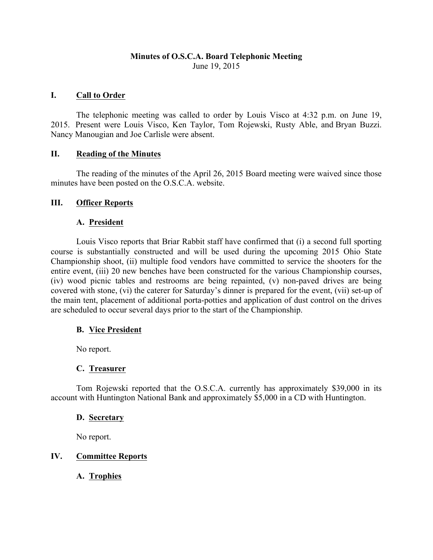## **Minutes of O.S.C.A. Board Telephonic Meeting** June 19, 2015

## **I. Call to Order**

The telephonic meeting was called to order by Louis Visco at 4:32 p.m. on June 19, 2015. Present were Louis Visco, Ken Taylor, Tom Rojewski, Rusty Able, and Bryan Buzzi. Nancy Manougian and Joe Carlisle were absent.

#### **II. Reading of the Minutes**

The reading of the minutes of the April 26, 2015 Board meeting were waived since those minutes have been posted on the O.S.C.A. website.

## **III. Officer Reports**

## **A. President**

Louis Visco reports that Briar Rabbit staff have confirmed that (i) a second full sporting course is substantially constructed and will be used during the upcoming 2015 Ohio State Championship shoot, (ii) multiple food vendors have committed to service the shooters for the entire event, (iii) 20 new benches have been constructed for the various Championship courses, (iv) wood picnic tables and restrooms are being repainted, (v) non-paved drives are being covered with stone, (vi) the caterer for Saturday's dinner is prepared for the event, (vii) set-up of the main tent, placement of additional porta-potties and application of dust control on the drives are scheduled to occur several days prior to the start of the Championship.

# **B. Vice President**

No report.

# **C. Treasurer**

Tom Rojewski reported that the O.S.C.A. currently has approximately \$39,000 in its account with Huntington National Bank and approximately \$5,000 in a CD with Huntington.

#### **D. Secretary**

No report.

# **IV. Committee Reports**

**A. Trophies**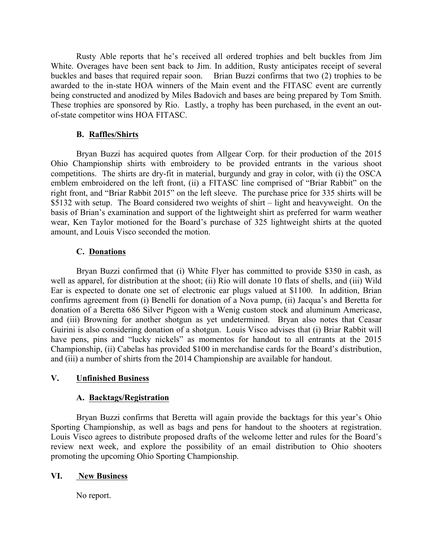Rusty Able reports that he's received all ordered trophies and belt buckles from Jim White. Overages have been sent back to Jim. In addition, Rusty anticipates receipt of several buckles and bases that required repair soon. Brian Buzzi confirms that two (2) trophies to be awarded to the in-state HOA winners of the Main event and the FITASC event are currently being constructed and anodized by Miles Badovich and bases are being prepared by Tom Smith. These trophies are sponsored by Rio. Lastly, a trophy has been purchased, in the event an outof-state competitor wins HOA FITASC.

## **B. Raffles/Shirts**

Bryan Buzzi has acquired quotes from Allgear Corp. for their production of the 2015 Ohio Championship shirts with embroidery to be provided entrants in the various shoot competitions. The shirts are dry-fit in material, burgundy and gray in color, with (i) the OSCA emblem embroidered on the left front, (ii) a FITASC line comprised of "Briar Rabbit" on the right front, and "Briar Rabbit 2015" on the left sleeve. The purchase price for 335 shirts will be \$5132 with setup. The Board considered two weights of shirt – light and heavyweight. On the basis of Brian's examination and support of the lightweight shirt as preferred for warm weather wear, Ken Taylor motioned for the Board's purchase of 325 lightweight shirts at the quoted amount, and Louis Visco seconded the motion.

## **C. Donations**

Bryan Buzzi confirmed that (i) White Flyer has committed to provide \$350 in cash, as well as apparel, for distribution at the shoot; (ii) Rio will donate 10 flats of shells, and (iii) Wild Ear is expected to donate one set of electronic ear plugs valued at \$1100. In addition, Brian confirms agreement from (i) Benelli for donation of a Nova pump, (ii) Jacqua's and Beretta for donation of a Beretta 686 Silver Pigeon with a Wenig custom stock and aluminum Americase, and (iii) Browning for another shotgun as yet undetermined. Bryan also notes that Ceasar Guirini is also considering donation of a shotgun. Louis Visco advises that (i) Briar Rabbit will have pens, pins and "lucky nickels" as momentos for handout to all entrants at the 2015 Championship, (ii) Cabelas has provided \$100 in merchandise cards for the Board's distribution, and (iii) a number of shirts from the 2014 Championship are available for handout.

# **V. Unfinished Business**

#### **A. Backtags/Registration**

Bryan Buzzi confirms that Beretta will again provide the backtags for this year's Ohio Sporting Championship, as well as bags and pens for handout to the shooters at registration. Louis Visco agrees to distribute proposed drafts of the welcome letter and rules for the Board's review next week, and explore the possibility of an email distribution to Ohio shooters promoting the upcoming Ohio Sporting Championship.

#### **VI. New Business**

No report.